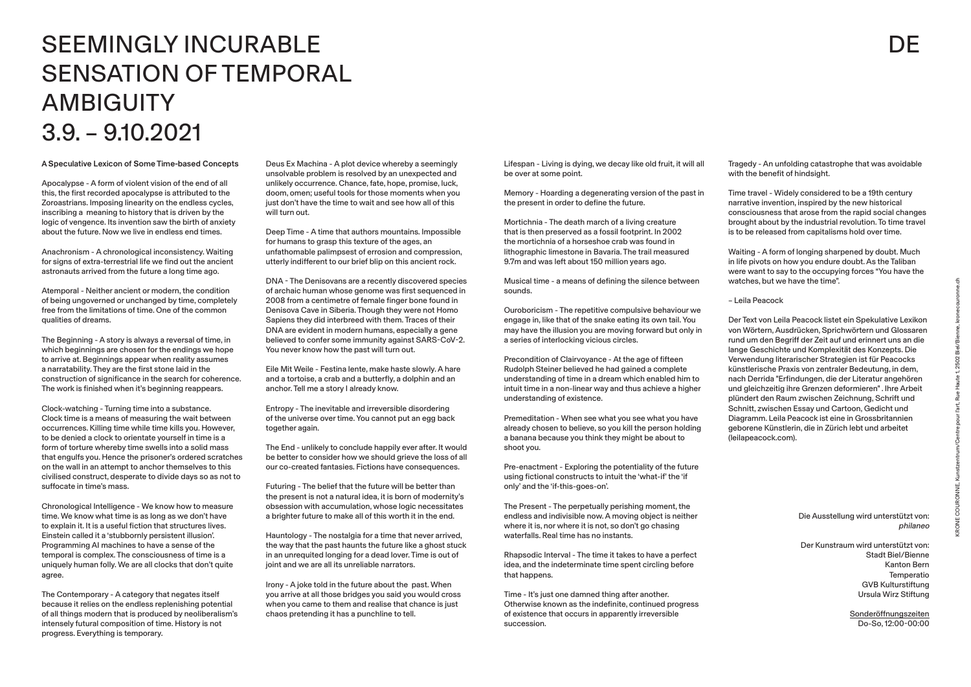A Speculative Lexicon of Some Time-based Concepts

Apocalypse - A form of violent vision of the end of all this, the first recorded apocalypse is attributed to the Zoroastrians. Imposing linearity on the endless cycles, inscribing a meaning to history that is driven by the logic of vengence. Its invention saw the birth of anxiety about the future. Now we live in endless end times.

Anachronism - A chronological inconsistency. Waiting for signs of extra-terrestrial life we find out the ancient astronauts arrived from the future a long time ago.

Atemporal - Neither ancient or modern, the condition of being ungoverned or unchanged by time, completely free from the limitations of time. One of the common qualities of dreams.

The Beginning - A story is always a reversal of time, in which beginnings are chosen for the endings we hope to arrive at. Beginnings appear when reality assumes a narratability. They are the first stone laid in the construction of significance in the search for coherence. The work is finished when it's beginning reappears.

Clock-watching - Turning time into a substance. Clock time is a means of measuring the wait between occurrences. Killing time while time kills you. However, to be denied a clock to orientate yourself in time is a form of torture whereby time swells into a solid mass that engulfs you. Hence the prisoner's ordered scratches on the wall in an attempt to anchor themselves to this civilised construct, desperate to divide days so as not to suffocate in time's mass.

Chronological Intelligence - We know how to measure time. We know what time is as long as we don't have to explain it. It is a useful fiction that structures lives. Einstein called it a 'stubbornly persistent illusion'. Programming AI machines to have a sense of the temporal is complex. The consciousness of time is a uniquely human folly. We are all clocks that don't quite agree.

The Contemporary - A category that negates itself because it relies on the endless replenishing potential of all things modern that is produced by neoliberalism's intensely futural composition of time. History is not progress. Everything is temporary.

Deus Ex Machina - A plot device whereby a seemingly unsolvable problem is resolved by an unexpected and unlikely occurrence. Chance, fate, hope, promise, luck, doom, omen; useful tools for those moments when you just don't have the time to wait and see how all of this will turn out.

Deep Time - A time that authors mountains. Impossible for humans to grasp this texture of the ages, an unfathomable palimpsest of errosion and compression, utterly indifferent to our brief blip on this ancient rock.

DNA - The Denisovans are a recently discovered species of archaic human whose genome was first sequenced in 2008 from a centimetre of female finger bone found in Denisova Cave in Siberia. Though they were not Homo Sapiens they did interbreed with them. Traces of their DNA are evident in modern humans, especially a gene believed to confer some immunity against SARS-CoV-2. You never know how the past will turn out.

Eile Mit Weile - Festina lente, make haste slowly. A hare and a tortoise, a crab and a butterfly, a dolphin and an anchor. Tell me a story I already know.

Entropy - The inevitable and irreversible disordering of the universe over time. You cannot put an egg back together again.

The End - unlikely to conclude happily ever after. It would be better to consider how we should grieve the loss of all our co-created fantasies. Fictions have consequences.

Futuring - The belief that the future will be better than the present is not a natural idea, it is born of modernity's obsession with accumulation, whose logic necessitates a brighter future to make all of this worth it in the end.

Hauntology - The nostalgia for a time that never arrived, the way that the past haunts the future like a ghost stuck in an unrequited longing for a dead lover. Time is out of joint and we are all its unreliable narrators.

Irony - A joke told in the future about the past. When you arrive at all those bridges you said you would cross when you came to them and realise that chance is just chaos pretending it has a punchline to tell.

# SEEMINGLY INCURABLE SENSATION OF TEMPORAL **AMBIGUITY** 3.9. – 9.10.2021

| Lifespan - Living is dying, we decay like old fruit, it will all<br>be over at some point.                                                                                                                                                                               |
|--------------------------------------------------------------------------------------------------------------------------------------------------------------------------------------------------------------------------------------------------------------------------|
| Memory - Hoarding a degenerating version of the past in<br>the present in order to define the future.                                                                                                                                                                    |
| Mortichnia - The death march of a living creature<br>that is then preserved as a fossil footprint. In 2002<br>the mortichnia of a horseshoe crab was found in<br>lithographic limestone in Bavaria. The trail measured<br>9.7m and was left about 150 million years ago. |
| Musical time - a means of defining the silence between<br>sounds.                                                                                                                                                                                                        |
| Ouroboricism - The repetitive compulsive behaviour we<br>engage in, like that of the snake eating its own tail. You<br>may have the illusion you are moving forward but only in<br>a series of interlocking vicious circles.                                             |

Precondition of Clairvoyance - At the age of fifteen Rudolph Steiner believed he had gained a complete understanding of time in a dream which enabled him to intuit time in a non-linear way and thus achieve a higher understanding of existence.

Premeditation - When see what you see what you have already chosen to believe, so you kill the person holding a banana because you think they might be about to shoot you.

Pre-enactment - Exploring the potentiality of the future using fictional constructs to intuit the 'what-if' the 'if only' and the 'if-this-goes-on'.

The Present - The perpetually perishing moment, the endless and indivisible now. A moving object is neither where it is, nor where it is not, so don't go chasing waterfalls. Real time has no instants.

Rhapsodic Interval - The time it takes to have a perfect idea, and the indeterminate time spent circling before that happens.

Time - It's just one damned thing after another. Otherwise known as the indefinite, continued progress of existence that occurs in apparently irreversible succession.

# **DE**

Tragedy - An unfolding catastrophe that was avoidable with the benefit of hindsight.

Time travel - Widely considered to be a 19th century narrative invention, inspired by the new historical consciousness that arose from the rapid social changes brought about by the industrial revolution. To time travel is to be released from capitalisms hold over time.

Waiting - A form of longing sharpened by doubt. Much in life pivots on how you endure doubt. As the Taliban were want to say to the occupying forces "You have the watches, but we have the time".

### – Leila Peacock

Der Text von Leila Peacock listet ein Spekulative Lexikon von Wörtern, Ausdrücken, Sprichwörtern und Glossaren rund um den Begriff der Zeit auf und erinnert uns an die lange Geschichte und Komplexität des Konzepts. Die Verwendung literarischer Strategien ist für Peacocks künstlerische Praxis von zentraler Bedeutung, in dem, nach Derrida "Erfindungen, die der Literatur angehören und gleichzeitig ihre Grenzen deformieren" . Ihre Arbeit plündert den Raum zwischen Zeichnung, Schrift und Schnitt, zwischen Essay und Cartoon, Gedicht und Diagramm. Leila Peacock ist eine in Grossbritannien geborene Künstlerin, die in Zürich lebt und arbeitet (leilapeacock.com).

> Die Ausstellung wird unterstützt von: philaneo

Der Kunstraum wird unterstützt von: Stadt Biel/Bienne Kanton Bern Temperatio GVB Kulturstiftung Ursula Wirz Stiftung

> Sonderöffnungszeiten Do-So, 12:00-00:00